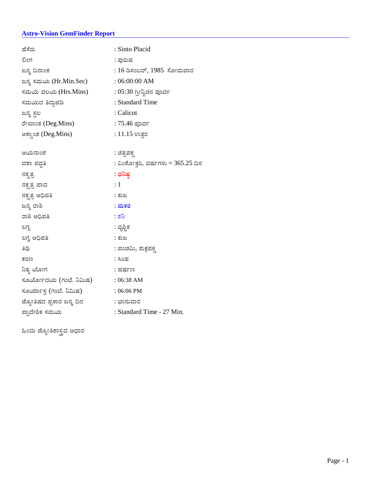### **Astro-Vision GemFinder Report**

| ಹೆಸೆರು                   | : Sinto Placid                       |
|--------------------------|--------------------------------------|
| ಲಿಂಗ                     | : ಪುರುಷ                              |
| ಜನ್ಮ ದಿನಾಂಕ              | : 16 ಡಿಸಂಬರ್, 1985  ಸೋಮವಾರ           |
| ಜನ್ಮ ಸಮಯ (Hr.Min.Sec)    | $:06:00:00$ AM                       |
| ಸಮಯ ವಲಯ (Hrs.Mins)       | : 05:30 ಗ್ರೀನ್ವಿಚಿನ ಪೂರ್ವ            |
| ಸಮಯದ ತಿದ್ದುಪಡಿ           | : Standard Time                      |
| ಜನ್ಮ ಸ್ಥಲ                | : Calicut                            |
| ರೇಖಾಂಶ (Deg.Mins)        | : 75.46 ಪೂರ್ವ                        |
| ಅಕ್ಸಾಂಶ (Deg.Mins)       | : 11.15 ಉತ್ತರ                        |
|                          |                                      |
| ಆಯನಾಂಶ                   | : ಚಿತ್ರಪಕ್ಸ                          |
| ದಶಾ ಪದ್ಧತಿ               | : ವಿಂಶೋತ್ತರಿ, ವರ್ಷಗಳು = $365.25$ ದಿನ |
| ನಕ್ಷತ್ರ                  | : ಧನಿಷ್ಠ                             |
| ನಕ್ಷತ್ರ ಪಾದ              | : 1                                  |
| ನಕ್ಷತ್ರ ಅಧಿಪತಿ           | : ಕುಜ                                |
| ಜನ್ಮ ರಾಶಿ                | <u>: ಮಕರ</u>                         |
| ರಾಶಿ ಅಧಿಪತಿ              | : లెని                               |
| ಲಗ್ನ                     | : ವೃಶ್ಚಿಕ                            |
| ಲಗ್ನ ಅಧಿಪತಿ              | : ಕುಜ                                |
| ತಿಥಿ                     | : ಪಂಚಮಿ, ಶುಕ್ಷಪಕ್ಸ                   |
| ಕರಣ                      | : ಸಿಂಹ                               |
| ನಿತ್ಯ ಯೋಗ                | : ಹರ್ಷಣ                              |
| ಸೂರ್ಯೋದಯ (ಗಂಟೆ. ನಿಮಿಷ)   | $: 06:38$ AM                         |
| ಸೂರ್ಯಾಸ್ತ (ಗಂಟೆ. ನಿಮಿಷ)  | $:06:06$ PM                          |
| ಜ್ಯೋತಿಷದ ಪ್ರಕಾರ ಜನ್ಮ ದಿನ | : ಭಾನುವಾರ                            |
| ಪ್ರಾದೇಶಿಕ ಸಮಯ            | : Standard Time - 27 Min.            |

ಹಿಂದು ಜ್ಯೋತಿಶಾಸ್ತ್ರದ ಆಧಾರ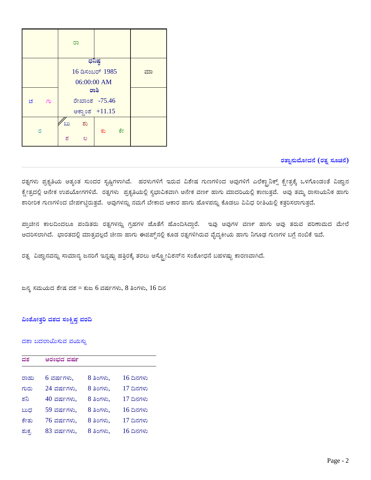|          | ರಾ                                       |    |
|----------|------------------------------------------|----|
|          | ಧನಿಷ್ಠ<br>16 ಡಿಸಂಬರ್ 1985<br>06:00:00 AM | ಮಾ |
| ಚ<br>ಾಗು | ರಾಶಿ<br>ರೇಖಾಂಶ -75.46<br>ಅಕ್ಷಾಂಶ +11.15  |    |
| ರ        | $\infty$<br>ಶು<br>ಕೇ<br>ಕು<br>ಶ<br>ಲ     |    |

# ರತ್ನಾನುಮೋದನೆ (ರತ್ನ ಸೂಚನೆ)

ರತ್ನಗಳು ಪ್ರಕೃತಿಯ ಅತ್ಯಂತ ಸುಂದರ ಸೃಷ್ಟಿಗಳಾಗಿವೆ. ಹರಳುಗಳಿಗೆ ಇರುವ ವಿಶೇಷ ಗುಣಗಳಿಂದ ಅವುಗಳಿಗೆ ಎಲೆಕ್ಟ್ರಾನಿಕ್ಸ್ ಕ್ಷೇತ್ರಕ್ಕೆ ಒಳಗೊಂಡಂತೆ ವಿಜ್ಞಾನ ಕ್ಷೇತ್ರದಲ್ಲಿ ಅನೇಕ ಉಪಯೋಗಗಳಿವೆ. ರತ್ನಗಳು ಪ್ರಕೃತಿಯಲ್ಲಿ ಸ್ವಭಾವಿಕವಾಗಿ ಅನೇಕ ವಣ೯ ಹಾಗು ಮಾದರಿಯಲ್ಲಿ ಕಾಣುತ್ತವೆ. ಅವು ತಮ್ಮ ರಾಸಾಯನಿಕ ಹಾಗು ಶಾರೀರಿಕ ಗುಣಗಳಿಂದ ಬೇಪ೯ಟ್ಟಿರುತ್ತವೆ. ಅವುಗಳನ್ನು ನಮಗೆ ಬೇಕಾದ ಆಕಾರ ಹಾಗು ಹೊಳಪನ್ನು ಕೊಡಲು ವಿವಿಧ ರೀತಿಯಲ್ಲಿ ಕತ್ತರಿಸಲಾಗುತ್ತದೆ.

ಪ್ರಾಚೀನ ಕಾಲದಿಂದಲೂ ಪಂಡಿತರು ರತ್ನಗಳನ್ನು ಗ್ರಹಗಳ ಜೊತೆಗೆ ಹೊಂದಿಸಿದ್ದಾರೆ. ಇವು ಅವುಗಳ ವಣ೯ ಹಾಗು ಅವು ತರುವ ಪರಿಣಾಮದ ಮೇಲೆ ಆದರಿಸಲಾಗಿದೆ. ಭಾರತದಲ್ಲಿ ಮಾತ್ರವಲ್ಲದೆ ಚೀನಾ ಹಾಗು ಈಜಿಪ್ಟ್ರ್ಯಾಲ್ಲಿ ಕೂಡ ರತ್ನಗಳಿಗಿರುವ ವೈದ್ಯಕೀಯ ಹಾಗು ನಿಗೂಢ ಗುಣಗಳ ಬಗ್ಗೆ ನಂಬಿಕೆ ಇದೆ.

ರತ್ನ ವಿಜ್ಞಾನವನ್ನು ಸಾಮಾನ್ಯ ಜನರಿಗೆ ಇನ್ನಷ್ಟು ಹತ್ತಿರಕ್ಕೆ ತರಲು ಆಸ್ಟ್ರೋವಿಶನ್ನ ಸಂಶೋಧನೆ ಬಹಳಷ್ಟು ಕಾರಣವಾಗಿದೆ.

ಜನ್ಮ ಸಮಯದ ಶೇಷ ದಶ = ಕುಜ 6 ವರ್ಷಗಳು, 8 ತಿಂಗಳು, 16 ದಿನ

### ವಿಂಶೋತ್ತರಿ ದಶದ ಸಂಕ್ಷಿಪ<mark>್</mark>ಠ ವರದಿ

### ದಶಾ ಬದಲಾಯಿಸುವ ವಯಸ್ಸು

| ದಶ    | ಆರಂಭದ ವರ್ಷ    |           |             |  |  |  |
|-------|---------------|-----------|-------------|--|--|--|
| ರಾಹು  | 6 ವರ್ಷಗಳು.    | 8 ತಿಂಗಳು, | 16 ದಿನಗಳು   |  |  |  |
| ಗುರು  | 24 ವರ್ಷಗಳು,   | 8 ತಿಂಗಳು, | 17 ದಿನಗಳು   |  |  |  |
| ಶನಿ   | $40$ ವರ್ಷಗಳು. | 8 ತಿಂಗಳು, | 17 ದಿನಗಳು   |  |  |  |
| ಬುಧ   | 59 ವರ್ಷಗಳು,   | 8 ತಿಂಗಳು. | $16$ ದಿನಗಳು |  |  |  |
| ಸೇತು  | 76 ವರ್ಷಗಳು,   | 8 ತಿಂಗಳು, | 17 ದಿನಗಳು   |  |  |  |
| ಶುಕ್ರ | 83 ವರ್ಷಗಳು.   | 8 ತಿಂಗಳು, | $16$ ದಿನಗಳು |  |  |  |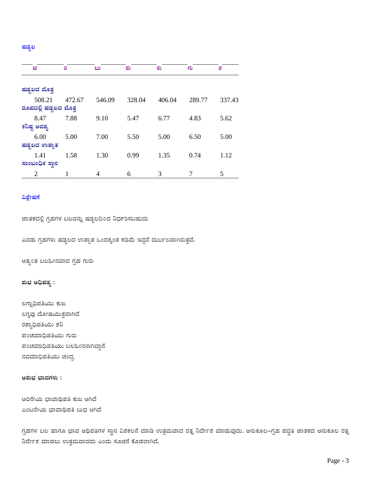ಗ್ರಹಗಳ ಬಲ ಹಾಗೂ ಭಾವ ಅಥಿಪತಿಗಳ ಸ್ಥಾನ ವಿಶಕಲನೆ ಮಾಡಿ ಉತ್ತಮವಾದ ರತ್ನ ನಿರ್ದೇಶ ಮಾಡುವುದು. ಅನುಕೂಲ–ಗ್ರಹ ಪದ್ದತಿ ಜಾತಕದ ಅನುಕೂಲ ರತ್ನ ನಿರ್ದೇಶ ಮಾಡಲು ಉತ್ತಮವಾದದು ಎಂದು ಸೂಚನೆ ಕೊಡಲಾಗಿದೆ.

ಅಶುಭ ಭಾವಗಳು :

ಆರನೇಯ ಭಾವಾಥಿಪತಿ ಕುಜ ಆಗಿದೆ ಎಂಟನೇಯ ಭಾವಾಥಿಪತಿ ಬುಧ ಆಗಿದೆ

ಲಗ್ನವು ದೋಷಯುಕ್ತವಾಗಿದೆ ರಶ್ಯಾಧಿಪತಿಯು ಶನಿ ಪಂಚಮಾಧಿಪತಿಯು ಗುರು ಪಂಚಮಾಧಿಪತಿಯು ಬಲಹೀನನಾಗಿದ್ದಾನೆ ನವಮಾಧಿಪತಿಯು ಚಂದ್ರ

ಶುಭ ಆಧಿಪತ್ಯ :

ಲಗ್ವಾಧಿಪತಿಯು ಕುಜ

ಅತ್ಯಂತ ಬಲಹೀನವಾದ ಗ್ರಹ ಗುರು

ಎರಡು ಗ್ರಹಗಳು ಷಡ್ಬಲದ ಉತ್ಪಾತ ಒಂದಕ್ಕಿಂತ ಕಡಿಮೆ ಇದ್ದರೆ ದುರ್ಬಲವಾಗಿರುತ್ತವೆ.

ಜಾತಕದಲ್ಲಿ ಗ್ರಹಗಳ ಬಲವನ್ನು ಷಡ್ಬಲದಿಂದ ನಿರ್ಧರಿಸಬಹುದು

## ವಿಶ್ಲೇಷಣೆ

| ಚ                     | ರ      | ಬು     | ಶು     | ಕು     | ಗು     | ಶ      |
|-----------------------|--------|--------|--------|--------|--------|--------|
|                       |        |        |        |        |        |        |
| ಷಡ್ಗಲದ ಮೊತ್ತ          |        |        |        |        |        |        |
| 508.21                | 472.67 | 546.09 | 328.04 | 406.04 | 289.77 | 337.43 |
| ರೂಪದಲ್ಲಿ ಷಡ್ಯಲದ ಮೊತ್ತ |        |        |        |        |        |        |
| 8.47                  | 7.88   | 9.10   | 5.47   | 6.77   | 4.83   | 5.62   |
| ಕನಿಷ್ಣ ಅವಶ್ಯ          |        |        |        |        |        |        |
| 6.00                  | 5.00   | 7.00   | 5.50   | 5.00   | 6.50   | 5.00   |
| ಷಡ್ತಲದ ಉತ್ಸಾತ         |        |        |        |        |        |        |
| 1.41                  | 1.58   | 1.30   | 0.99   | 1.35   | 0.74   | 1.12   |
| ಸಾಂಬಂಧಿಕ ಸ್ಥಾನ        |        |        |        |        |        |        |
| 2                     |        | 4      | 6      | 3      |        | 5      |

ಷಡ್ಬಲ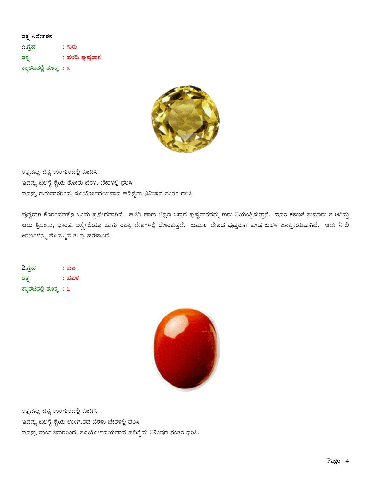ರತ್ನ ನಿರ್ದೇಶನ ೧.ಗ್ರಹ : ಗುರು : ಹಳದಿ ಪುಷ್ಪರಾಗ ರತ್ನ ಕ್ಯಾರಟಿನಲ್ಲಿ ತೂಕ್ಕ : ೩



ರತ್ನವನ್ನು ಚಿನ್ನ ಉಂಗುರದಲ್ಲಿ ಕೂಡಿಸಿ ಇದನ್ನು ಬಲಗೈ ಕೈಯ ತೋರು ಬೆರಳು ಬೇರಳಲ್ಲಿ ಧರಿಸಿ ಇದನ್ನು ಗುರುವಾರರಿಂದ, ಸೂರ್ಯೋದಯವಾದ ಹದಿನೈದು ನಿಮಿಷದ ನಂತರ ಧರಿಸಿ.

ಪುಷ್ಪರಾಗ ಕೊರಂಡಮ್ನ ಒಂದು ಪ್ರಭೇದವಾಗಿದೆ. ಹಳದಿ ಹಾಗು ಚಿನ್ನದ ಬಣ್ಣದ ಪುಷ್ಪರಾಗವನ್ನು ಗುರು ನಿಯಂತ್ರಿಸುತ್ತಾನೆ. ಇದರ ಕಠಿಣತೆ ಸುಮಾರು ೮ ಆಗಿದ್ದು ಇದು ಶ್ರಿಲಂಕಾ, ಭಾರತ, ಆಸ್ಟ್ರೇಲಿಯಾ ಹಾಗು ರಷ್ಯಾ ದೇಶಗಳಲ್ಲಿ ದೊರಕುತ್ತದೆ. ಬರ್ಮಾ ದೇಶದ ಪುಷ್ಪರಾಗ ಕೂಡ ಬಹಳ ಜನಪ್ರೀಯವಾಗಿದೆ. ಇದು ನೀಲಿ ಕಿರಣಗಳನ್ನು ಹೊಮ್ಮುವ ತಂಪು ಹರಳಾಗಿದೆ.

 $2\eta$ ಹ : ಕುಜ ರತ್ನ : ಹವಳ ಕ್ಯಾರಟಿನಲ್ಲಿ ತೂಕ್ಕ : ೭



ರತ್ನವನ್ನು ಚಿನ್ನ ಉಂಗುರದಲ್ಲಿ ಕೂಡಿಸಿ ಇದನ್ನು ಬಲಗೈ ಕೈಯ ಉಂಗುರದ ಬೆರಳು ಬೇರಳಲ್ಲಿ ಧರಿಸಿ ಇದನ್ನು ಮಂಗಳವಾರರಿಂದ, ಸೂರ್ಯೋದಯವಾದ ಹದಿನೈದು ನಿಮಿಷದ ನಂತರ ಧರಿಸಿ.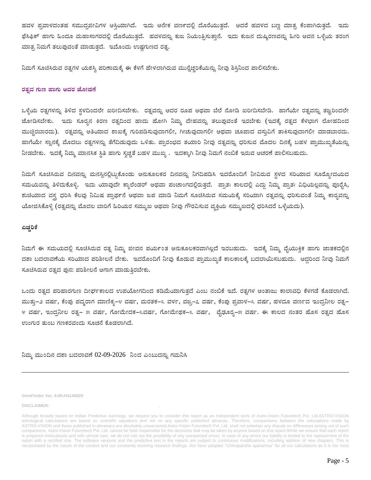ಹವಳ ಪ್ರವಾಳದಂತಹ ಸಮುದ್ರಜೀವಿಗಳ ಆಸ್ತಿಯಾಗಿದೆ. ಇದು ಅನೇಕ ವರ್ಣದಲ್ಲಿ ದೊರೆಯುತ್ತದೆ. ಆದರೆ ಹವಳದ ಬಣ್ಣ ಮಾತ್ರ ಕೆಂಪಾಗಿರುತ್ತದೆ. ಇದು ಫೆಸಿಫಿಕ್ ಹಾಗು ಹಿಂದೂ ಮಹಾಸಾಗರದಲ್ಲಿ ದೊರೆಯುತ್ತದೆ. ಹವಳವನ್ನು ಕುಜ ನಿಯಂತ್ರಿಸುತ್ತಾನೆ. ಇದು ಕುಜನ ದುಷ್ಕಿರಣವನ್ನು ಹೀರಿ ಅವನ ಒಳ್ಳೆಯ ತರಂಗ ಮಾತ್ರ ನಿಮಗೆ ತಲುಪುವಂತೆ ಮಾಡುತ್ತದೆ. ಇದೊಂದು ಉಷ್ಣಗುಣದ ರತ್ನ.

ನಿಮಗೆ ಸೂಚಿಸಿರುವ ರತ್ನಗಳ ಯಶಸ್ತಿ ಪರಿಣಾಮಕ್ಕೆ ಈ ಕೆಳಗೆ ಹೇಳಲಾಗಿರುವ ಮುನ್ನೆಚ್ಚರಿಕೆಯನ್ನು ನೀವು ಶಿಸ್ತಿನಿಂದ ಪಾಲಿಸಬೇಕು.

### ರತ್ರದ ಗುಣ ಹಾಗು ಅದರ ಜೋಡಣೆ

ಒಳ್ಳೆಯ ರತ್ನಗಳನ್ನು ತಿಳಿದ ಸ್ಥಳದಿಂದಲೇ ಖರೀದಿಸಬೇಕು. ರತ್ನವನ್ನು ಅದರ ರೂಪ ಅಥವಾ ಬೆಲೆ ನೋಡಿ ಖರೀದಿಸಬೇಡಿ. ಹಾಗೆಯೇ ರತ್ನವನ್ನು ತಜ್ಞರಿಂದಲೇ ಜೋಡಿಸಬೇಕು. ಇದು ಸೂರ್ರನ ಕಿರಣ ರತ್ರದಿಂದ ಹಾದು ಹೋಗಿ ನಿಮ್ಮ ದೇಹವನ್ನು ತಲುಪುವಂತೆ ಇರಬೇಕು (ಇದಕ್ಕೆ ರತ್ನದ ಕೆಳಭಾಗ ಲೋಹದಿಂದ ಮುಚ್ಚಿರಬಾರದು). ರತ್ತವನ್ನು ಅತಿಯಾದ ಶಾಖಕ್ಕೆ ಗುರಿಪಡಿಸುವುದಾಗಲೀ, ಗೀಚುವುದಾಗಲೀ ಅಥವಾ ಚೂಪಾದ ವಸ್ತುವಿಗೆ ತಾಕಿಸುವುದಾಗಲೀ ಮಾಡಬಾರದು. ಹಾಗೆಯೇ ಸ್ವಾನಕ್ಕೆ ಮೊದಲು ರತ್ನಗಳನ್ನು ತೆಗೆದಿಡುವುದು ಒಳಿತು. ಪ್ರಾರಂಭದ ತಯಾರಿ ನೀವು ರತ್ನವನ್ನು ಧರಿಸುವ ಮೊದಲ ದಿನಕ್ಕೆ ಬಹಳ ಪ್ರಾಮುಖ್ಯತೆಯನ್ನು ನೀಡಬೇಕು. ಇದಕ್ಕೆ ನಿಮ್ಮ ಮಾನಸಿಕ ಸ್ಥಿತಿ ಹಾಗು ಸ್ತಚ್ಛತೆ ಬಹಳ ಮುಖ್ಯ . ಇದಕ್ಕಾಗಿ ನೀವು ನಿಮಗೆ ನಂಬಿಕೆ ಇರುವ ಆಚರಣೆ ಪಾಲಿಸಬಹುದು.

ನಿಮಗೆ ಸೂಚಿಸಿರುವ ದಿನವನ್ನು ಮನಸ್ಸಿನಲ್ಲಿಟ್ಟುಕೊಂಡು ಅನುಕೂಲಕರ ದಿನವನ್ನು ನಿಗದಿಪಡಿಸಿ ಇದರೊಂದಿಗೆ ನೀವಿರುವ ಸ್ಥಳದ ಸರಿಯಾದ ಸೂರ್ರ್ಯೋದಯದ ಸಮಯವನ್ನು ತಿಳಿದುಕೊಳ್ಳಿ. ಇದು ಯಾವುದೇ ಕ್ಯಾಲೆಂಡರ್ ಅಥವಾ ಪಂಚಾಂಗದಲ್ಲಿರುತ್ತದೆ. ಪ್ರಾತಃ ಕಾಲದಲ್ಲಿ ಎದ್ದು ನಿಮ್ಮ ಪ್ರಾತಃ ವಿಧಿಯಲ್ಲವನ್ನು ಪೂರೈಸಿ, ಶುಚಿಯಾದ ವಸ್ತ್ರ ಧರಿಸಿ ಕೆಲವು ನಿಮಿಷ ಪ್ರಾಥ೯ನೆ ಅಥವಾ ಜಪ ಮಾಡಿ ನಿಮಗೆ ಸೂಚಿಸಿರುವ ಸಮಯಕ್ಕೆ ಸರಿಯಾಗಿ ರತ್ವವನ್ನು ಧರಿಸುವಂತೆ ನಿಮ್ಮ ಕಾರ್ತವನ್ನು ಯೋಜಿಸಿಕೊಳ್ಳಿ (ರತ್ನವನ್ನು ಮೊದಲ ಬಾರಿಗೆ ಹಿರಿಯರ ಸಮ್ಮುಖ ಅಥವಾ ನೀವು ಗೌರವಿಸುವ ವ್ಯಕ್ತಿಯ ಸಮ್ಮುಖದಲ್ಲಿ ಧರಿಸಿದರೆ ಒಳ್ಳೆಯದು).

#### ಎಚ್ಚರಿಕೆ

ನಿಮಗೆ ಈ ಸಮಯದಲ್ಲಿ ಸೂಚಿಸಿರುವ ರತ್ನ ನಿಮ್ಮ ಜೀವನ ಪರ್ಯಂತ ಅನುಕೂಲಕರವಾಗಿಲ್ಲದೆ ಇರಬಹುದು. ಇದಕ್ಕೆ ನಿಮ್ಮ ವೈಯುಕ್ತಿಕ ಹಾಗು ಜಾತಕದಲ್ಲಿನ ದಶಾ ಬದಲಾವಣೆಯ ಸರಿಯಾದ ಪರಿಶೀಲನೆ ಬೇಕು. ಇದರೊಂದಿಗೆ ನೀವು ಕೊಡುವ ಪ್ರಾಮುಖ್ಯತೆ ಕಾಲಕಾಲಕ್ಕೆ ಬದಲಾಯಿಸಬಹುದು. ಆದ್ದರಿಂದ ನೀವು ನಿಮಗೆ ಸೂಚಿಸಿರುವ ರತ್ರದ ಪುನ: ಪರಿಶೀಲನೆ ಆಗಾಗ ಮಾಡುತ್ತಿರಬೇಕು.

ಒಂದು ರತ್ನದ ಪರಿಹಾರಗುಣ ದೀರ್ಘಕಾಲದ ಉಪಯೋಗದಿಂದ ಕಡಿಮೆಯಾಗುತ್ತದೆ ಎಂಬ ನಂಬಿಕೆ ಇದೆ. ರತ್ತಗಳ ಅಂತಾಜು ಕಾಲಾವಧಿ ಕೆಳಗಡೆ ಕೊಡಲಾಗಿದೆ. ಮುತ್ತ−೨ ವರ್ಷ, ಕೆಂಪು ಪದ್ತರಾಗ ಮಾಣಿಕ್ಯ−೪ ವರ್ಷ, ಮರತಕ−೩ ವರ್ಳ, ವಜ್ಗ−೭ ವರ್ಷ, ಕೆಂಪು ಪ್ರವಾಳ−೩ ವರ್ಷ, ಹಳದೂ ವರ್ಣದ ಇಂದನೀಿಲ ರತ್ರ− ೪ ವರ್ಷ, ಇಂದ್ರನೀಲ ರತ್ತ− ೫ ವರ್ಷ, ಗೋಮೇದಕ−೩ವರ್ಷ, ಗೋಮೇಥಕ−೩ ವರ್ಷ, ವೈಢೂರ್ನ−೫ ವರ್ಷ. ಈ ಕಾಲದ ನಂತರ ಹೊಸ ರತ್ತದ ಹೊಸ ಉಂಗುರ ತುಂಬ ಗಣಕರವಂದು ಸೂಚನೆ ಕೊಡಲಾಗಿದೆ.

ನಿಮ್ಮ ಮುಂದಿನ ದಶಾ ಬದಲಾವಣೆ 02-09-2026 ನಿಂದ ಎಂಬುದನ್ನು ಗಮನಿಸಿ

#### GemFinder Ver. 9.0KAN140829

**DISCLAIMER:** 

Although broadly based on Indian Predictive Astrology, we request you to consider this report as an independent work of Astro-Vision Futuretech Pvt. Ltd.ASTRO-VISION astrological calculations are based on scientific equations and not on any specific published almanac. Therefore, comparisons between the calculations made by ASTRO-VISION and those published in almanacs are absolutely unwarranted.Astro-Vision Futuretech Pvt. Ltd. shall not entertain any dispute on differences arising out of such comparisons. Astro-Vision Futuretech Pvt. Ltd. cannot be held responsible for the decisions that may be taken by anyone based on this report. While we ensure that each report is prepared meticulously and with utmost care, we do not rule out the possibility of any unexpected errors. In case of any errors our liability is limited to the replacement of the report with a rectified one. The software versions and the predictive text in the reports are subject to continuous modifications, including addition of new chapters. This is necessitated by the nature of the content and our constantly evolving research findings. We have adopted "Chitrapaksha ayanamsa" for all our calculations as it is the most